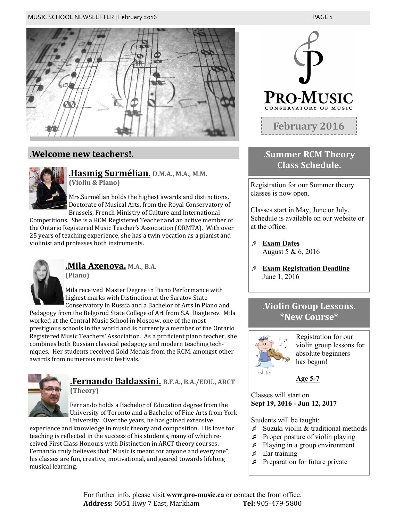

## **.Welcome new teachers!.**



**.Hasmig Surmélian. D.M.A., M.A., M.M. (Violin & Piano)**

Mrs.Surmélian holds the highest awards and distinctions, Doctorate of Musical Arts, from the Royal Conservatory of Brussels, French Ministry of Culture and International

Competitions. She is a RCM Registered Teacher and an active member of the Ontario Registered Music Teacher's Association (ORMTA). With over 25 years of teaching experience, she has a twin vocation as a pianist and violinist and professes both instruments.



**.Mila Axenova. M.A., B.A. (Piano)**

Mila received Master Degree in Piano Performance with highest marks with Distinction at the Saratov State Conservatory in Russia and a Bachelor of Arts in Piano and

Pedagogy from the Belgorod State College of Art from S.A. Diagterev. Mila worked at the Central Music School in Moscow, one of the most prestigious schools in the world and is currently a member of the Ontario Registered Music Teachers' Association. As a proficient piano teacher, she combines both Russian classical pedagogy and modern teaching techniques. Her students received Gold Medals from the RCM, amongst other awards from numerous music festivals.



### **.Fernando Baldassini. B.F.A., B.A./EDU., ARCT (Theory)**

Fernando holds a Bachelor of Education degree from the University of Toronto and a Bachelor of Fine Arts from York University. Over the years, he has gained extensive

experience and knowledge in music theory and composition. His love for teaching is reflected in the success of his students, many of which received First Class Honours with Distinction in ARCT theory courses. Fernando truly believes that "Music is meant for anyone and everyone", his classes are fun, creative, motivational, and geared towards lifelong musical learning.



## **.Summer RCM Theory Class Schedule.**

Registration for our Summer theory classes is now open.

Classes start in May, June or July. Schedule is available on our website or at the office.

- **Exam Dates** August  $5 & 6, 2016$
- **Exam Registration Deadline**  June 1, 2016

## **.Violin Group Lessons. \*New Course\***



Registration for our violin group lessons for absolute beginners has begun!

**Age 5-7**

Classes will start on **Sept 19, 2016 - Jun 12, 2017**

Students will be taught:

- Suzuki violin & traditional methods
- $\sqrt{P}$  Proper posture of violin playing
- Playing in a group environment
- $\sqrt{P}$  Ear training
- $\sqrt{P}$  Preparation for future private